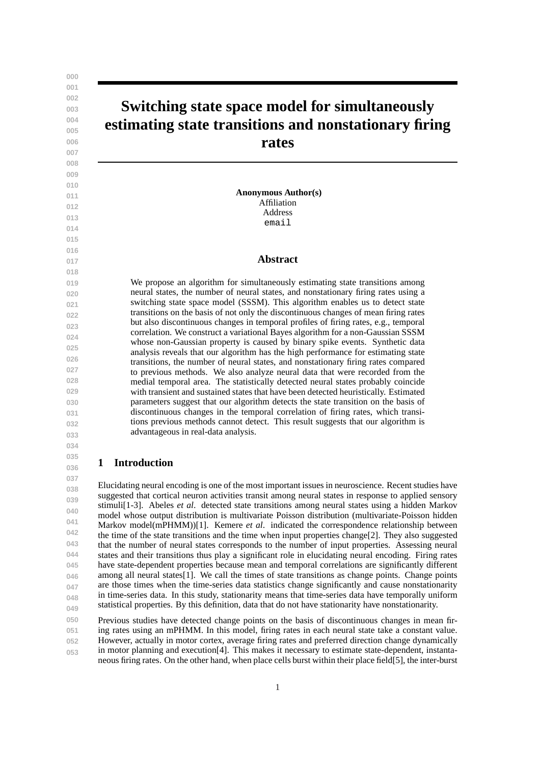# **Switching state space model for simultaneously estimating state transitions and nonstationary firing rates**

**Anonymous Author(s)** Affiliation Address email

# **Abstract**

We propose an algorithm for simultaneously estimating state transitions among neural states, the number of neural states, and nonstationary firing rates using a switching state space model (SSSM). This algorithm enables us to detect state transitions on the basis of not only the discontinuous changes of mean firing rates but also discontinuous changes in temporal profiles of firing rates, e.g., temporal correlation. We construct a variational Bayes algorithm for a non-Gaussian SSSM whose non-Gaussian property is caused by binary spike events. Synthetic data analysis reveals that our algorithm has the high performance for estimating state transitions, the number of neural states, and nonstationary firing rates compared to previous methods. We also analyze neural data that were recorded from the medial temporal area. The statistically detected neural states probably coincide with transient and sustained states that have been detected heuristically. Estimated parameters suggest that our algorithm detects the state transition on the basis of discontinuous changes in the temporal correlation of firing rates, which transitions previous methods cannot detect. This result suggests that our algorithm is advantageous in real-data analysis.

#### **035 036 1 Introduction**

**037**

**038 039 040 041 042 043 044 045 046 047 048 049** Elucidating neural encoding is one of the most important issues in neuroscience. Recent studies have suggested that cortical neuron activities transit among neural states in response to applied sensory stimuli[1-3]. Abeles *et al*. detected state transitions among neural states using a hidden Markov model whose output distribution is multivariate Poisson distribution (multivariate-Poisson hidden Markov model(mPHMM))[1]. Kemere *et al*. indicated the correspondence relationship between the time of the state transitions and the time when input properties change $[2]$ . They also suggested that the number of neural states corresponds to the number of input properties. Assessing neural states and their transitions thus play a significant role in elucidating neural encoding. Firing rates have state-dependent properties because mean and temporal correlations are significantly different among all neural states[1]. We call the times of state transitions as change points. Change points are those times when the time-series data statistics change significantly and cause nonstationarity in time-series data. In this study, stationarity means that time-series data have temporally uniform statistical properties. By this definition, data that do not have stationarity have nonstationarity.

**050 051 052 053** Previous studies have detected change points on the basis of discontinuous changes in mean firing rates using an mPHMM. In this model, firing rates in each neural state take a constant value. However, actually in motor cortex, average firing rates and preferred direction change dynamically in motor planning and execution[4]. This makes it necessary to estimate state-dependent, instantaneous firing rates. On the other hand, when place cells burst within their place field[5], the inter-burst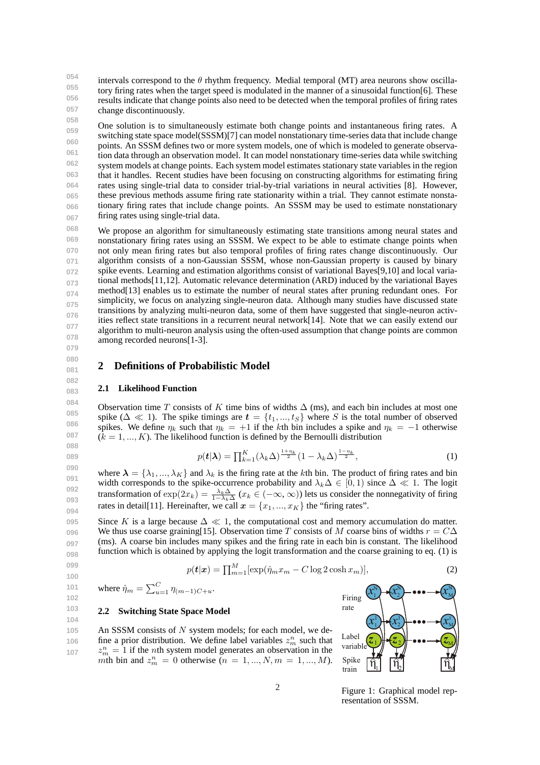**054 055 056 057** intervals correspond to the  $\theta$  rhythm frequency. Medial temporal (MT) area neurons show oscillatory firing rates when the target speed is modulated in the manner of a sinusoidal function[6]. These results indicate that change points also need to be detected when the temporal profiles of firing rates change discontinuously.

**058 059 060 061 062 063 064 065 066 067** One solution is to simultaneously estimate both change points and instantaneous firing rates. A switching state space model(SSSM)[7] can model nonstationary time-series data that include change points. An SSSM defines two or more system models, one of which is modeled to generate observation data through an observation model. It can model nonstationary time-series data while switching system models at change points. Each system model estimates stationary state variables in the region that it handles. Recent studies have been focusing on constructing algorithms for estimating firing rates using single-trial data to consider trial-by-trial variations in neural activities [8]. However, these previous methods assume firing rate stationarity within a trial. They cannot estimate nonstationary firing rates that include change points. An SSSM may be used to estimate nonstationary firing rates using single-trial data.

**068 069 070 071 072 073 074 075 076 077 078 079** We propose an algorithm for simultaneously estimating state transitions among neural states and nonstationary firing rates using an SSSM. We expect to be able to estimate change points when not only mean firing rates but also temporal profiles of firing rates change discontinuously. Our algorithm consists of a non-Gaussian SSSM, whose non-Gaussian property is caused by binary spike events. Learning and estimation algorithms consist of variational Bayes[9,10] and local variational methods[11,12]. Automatic relevance determination (ARD) induced by the variational Bayes method[13] enables us to estimate the number of neural states after pruning redundant ones. For simplicity, we focus on analyzing single-neuron data. Although many studies have discussed state transitions by analyzing multi-neuron data, some of them have suggested that single-neuron activities reflect state transitions in a recurrent neural network[14]. Note that we can easily extend our algorithm to multi-neuron analysis using the often-used assumption that change points are common among recorded neurons[1-3].

**080 081**

**082 083**

**089**

**099 100**

**102**

# **2 Definitions of Probabilistic Model**

### **2.1 Likelihood Function**

**084 085 086 087 088** Observation time *T* consists of *K* time bins of widths  $\Delta$  (ms), and each bin includes at most one spike ( $\Delta \ll 1$ ). The spike timings are  $t = \{t_1, ..., t_S\}$  where *S* is the total number of observed spikes. We define  $\eta_k$  such that  $\eta_k = +1$  if the *k*th bin includes a spike and  $\eta_k = -1$  otherwise  $(k = 1, \ldots, K)$ . The likelihood function is defined by the Bernoulli distribution

$$
p(\boldsymbol{t}|\boldsymbol{\lambda}) = \prod_{k=1}^{K} (\lambda_k \Delta)^{\frac{1+\eta_k}{2}} (1 - \lambda_k \Delta)^{\frac{1-\eta_k}{2}},
$$
\n<sup>(1)</sup>

**090 091 092 093 094** where  $\lambda = \{\lambda_1, ..., \lambda_K\}$  and  $\lambda_k$  is the firing rate at the *k*th bin. The product of firing rates and bin width corresponds to the spike-occurrence probability and  $\lambda_k \Delta \in [0,1)$  since  $\Delta \ll 1$ . The logit transformation of  $\exp(2x_k) = \frac{\lambda_k \Delta}{1 - \lambda_k \Delta}$   $(x_k \in (-\infty, \infty))$  lets us consider the nonnegativity of firing rates in detail[11]. Hereinafter, we call  $x = \{x_1, ..., x_K\}$  the "firing rates".

**095 096 097 098** Since *K* is a large because  $\Delta \ll 1$ , the computational cost and memory accumulation do matter. We thus use coarse graining[15]. Observation time *T* consists of *M* coarse bins of widths  $r = C\Delta$ (ms). A coarse bin includes many spikes and the firing rate in each bin is constant. The likelihood function which is obtained by applying the logit transformation and the coarse graining to eq. (1) is

$$
p(\boldsymbol{t}|\boldsymbol{x}) = \prod_{m=1}^{M} [\exp(\hat{\eta}_m x_m - C \log 2 \cosh x_m)],
$$
\n(2)

**101** where  $\hat{\eta}_m = \sum_{u=1}^C \eta_{(m-1)C+u}$ .

#### **103 104 2.2 Switching State Space Model**

**105 106 107** An SSSM consists of *N* system models; for each model, we define a prior distribution. We define label variables  $z_m^n$  such that  $z_m^n = 1$  if the *n*th system model generates an observation in the *m*th bin and  $z_m^n = 0$  otherwise  $(n = 1, ..., N, m = 1, ..., M)$ .



Figure 1: Graphical model representation of SSSM.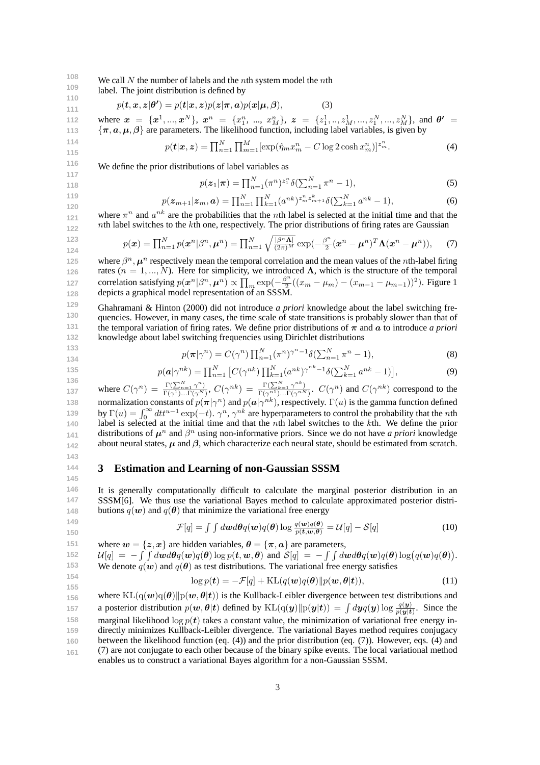**108 109** We call *N* the number of labels and the *n*th system model the *n*th

**110** label. The joint distribution is defined by

$$
p(\boldsymbol{t}, \boldsymbol{x}, \boldsymbol{z} | \boldsymbol{\theta'}) = p(\boldsymbol{t} | \boldsymbol{x}, \boldsymbol{z}) p(\boldsymbol{z} | \boldsymbol{\pi}, \boldsymbol{a}) p(\boldsymbol{x} | \boldsymbol{\mu}, \boldsymbol{\beta}),
$$
(3)

**112 113** where  $x = \{x^1, ..., x^N\}$ ,  $x^n = \{x_1^n, ..., x_M^n\}$ ,  $z = \{z_1^1, ..., z_M^1, ..., z_1^N, ..., z_M^N\}$ , and  $\theta' =$ *{π, a, µ, β}* are parameters. The likelihood function, including label variables, is given by

$$
p(\mathbf{t}|\mathbf{x}, \mathbf{z}) = \prod_{n=1}^{N} \prod_{m=1}^{M} [\exp(\hat{\eta}_m x_m^n - C \log 2 \cosh x_m^n)]^{z_m^n}.
$$
 (4)

We define the prior distributions of label variables as

$$
p(z_1|\pi) = \prod_{n=1}^{N} (\pi^n)^{z_1^n} \delta(\sum_{n=1}^{N} \pi^n - 1),
$$
\n(5)

$$
p(\mathbf{z}_{m+1}|\mathbf{z}_m,\mathbf{a}) = \prod_{n=1}^{N} \prod_{k=1}^{N} (a^{nk})^{z_m^n z_{m+1}^k} \delta(\sum_{k=1}^{N} a^{nk} - 1),
$$
\n(6)

**121 122** where  $\pi^n$  and  $a^{nk}$  are the probabilities that the *n*th label is selected at the initial time and that the *n*th label switches to the *k*th one, respectively. The prior distributions of firing rates are Gaussian

$$
p(\boldsymbol{x}) = \prod_{n=1}^{N} p(\boldsymbol{x}^n | \beta^n, \boldsymbol{\mu}^n) = \prod_{n=1}^{N} \sqrt{\frac{|\beta^n \boldsymbol{\Lambda}|}{(2\pi)^M}} \exp(-\frac{\beta^n}{2} (\boldsymbol{x}^n - \boldsymbol{\mu}^n)^T \boldsymbol{\Lambda} (\boldsymbol{x}^n - \boldsymbol{\mu}^n)), \quad (7)
$$

**125 126 127 128** where  $\beta^n$ ,  $\mu^n$  respectively mean the temporal correlation and the mean values of the *n*th-label firing rates  $(n = 1, ..., N)$ . Here for simplicity, we introduced  $\Lambda$ , which is the structure of the temporal  $\text{correlation satisfying } p(\boldsymbol{x}^n | \beta^n, \boldsymbol{\mu}^n) \propto \prod_m \exp(-\frac{\beta^n}{2})$  $\frac{2^n}{2}((x_m - \mu_m) - (x_{m-1} - \mu_{m-1}))^2$ ). Figure 1 depicts a graphical model representation of an SSSM.

**129 130 131 132** Ghahramani & Hinton (2000) did not introduce *a priori* knowledge about the label switching frequencies. However, in many cases, the time scale of state transitions is probably slower than that of the temporal variation of firing rates. We define prior distributions of  $\pi$  and  $\alpha$  to introduce *a priori* knowledge about label switching frequencies using Dirichlet distributions

$$
p(\boldsymbol{\pi}|\boldsymbol{\gamma}^n) = C(\boldsymbol{\gamma}^n) \prod_{n=1}^N (\pi^n)^{\gamma^n - 1} \delta(\sum_{n=1}^N \pi^n - 1),
$$
\n(8)

$$
\begin{array}{c} 134 \\ 135 \end{array}
$$

**133**

**111**

**123 124**

$$
p(\mathbf{a}|\gamma^{nk}) = \prod_{n=1}^{N} \left[ C(\gamma^{nk}) \prod_{k=1}^{N} (a^{nk})^{\gamma^{nk}-1} \delta(\sum_{k=1}^{N} a^{nk}-1) \right],
$$
\n(9)

**136 137 138 139 140 141 142** where  $C(\gamma^n) = \frac{\Gamma(\sum_{n=1}^N \gamma^n)}{\Gamma(\gamma^1)}$  $\frac{\Gamma(\sum_{n=1}^{N} \gamma^{n})}{\Gamma(\gamma^{1})...\Gamma(\gamma^{N})}, C(\gamma^{nk}) = \frac{\Gamma(\sum_{k=1}^{N} \gamma^{nk})}{\Gamma(\gamma^{n1})...\Gamma(\gamma^{nN})}$  $\frac{\Gamma(\sum_{k=1}^{N} \gamma^{n_k})}{\Gamma(\gamma^{n1}) \dots \Gamma(\gamma^{nN})}$ .  $C(\gamma^n)$  and  $C(\gamma^{nk})$  correspond to the normalization constants of  $p(\bm{\pi}|\gamma^n)$  and  $p(\bm{a}|\gamma^{nk})$ , respectively.  $\Gamma(u)$  is the gamma function defined by  $\Gamma(u) = \int_0^\infty dt t^{u-1} \exp(-t)$ . *γ*<sup>*n*</sup>, *γ*<sup>*nk*</sup> are hyperparameters to control the probability that the *n*th label is selected at the initial time and that the *n*th label switches to the *k*th. We define the prior distributions of  $\mu^n$  and  $\beta^n$  using non-informative priors. Since we do not have *a priori* knowledge about neural states, *µ* and *β*, which characterize each neural state, should be estimated from scratch.

# **3 Estimation and Learning of non-Gaussian SSSM**

**144 145 146**

**147**

**143**

It is generally computationally difficult to calculate the marginal posterior distribution in an SSSM[6]. We thus use the variational Bayes method to calculate approximated posterior distributions  $q(\boldsymbol{w})$  and  $q(\boldsymbol{\theta})$  that minimize the variational free energy

$$
148\n\n149\n\n150
$$

**155**

 $\mathcal{F}[q] = \int \int d\boldsymbol{w} d\boldsymbol{\theta} q(\boldsymbol{w}) q(\boldsymbol{\theta}) \log \frac{q(\boldsymbol{w}) q(\boldsymbol{\theta})}{p(\boldsymbol{t}, \boldsymbol{w}, \boldsymbol{\theta})} = \mathcal{U}[q] - \mathcal{S}[q]$ (10)

**151 152 153 154** where  $w = \{z, x\}$  are hidden variables,  $\theta = \{\pi, a\}$  are parameters,  $\mathcal{U}[q] = -\int \int d\mathbf{w} d\theta q(\mathbf{w}) q(\theta) \log p(\mathbf{t}, \mathbf{w}, \theta)$  and  $\mathcal{S}[q] = -\int \int d\mathbf{w} d\theta q(\mathbf{w}) q(\theta) \log (q(\mathbf{w})q(\theta)).$ We denote  $q(w)$  and  $q(\theta)$  as test distributions. The variational free energy satisfies

$$
\log p(\mathbf{t}) = -\mathcal{F}[q] + \mathrm{KL}(q(\mathbf{w})q(\boldsymbol{\theta})||p(\mathbf{w}, \boldsymbol{\theta}|\mathbf{t})),\tag{11}
$$

**156 157 158 159 160 161** where  $KL(q(\mathbf{w})q(\theta)||p(\mathbf{w}, \theta|\mathbf{t}))$  is the Kullback-Leibler divergence between test distributions and a posterior distribution  $p(w, \theta | t)$  defined by  $KL(q(y) || p(y|t)) = \int dy q(y) \log \frac{q(y)}{p(y|t)}$ . Since the marginal likelihood  $\log p(t)$  takes a constant value, the minimization of variational free energy indirectly minimizes Kullback-Leibler divergence. The variational Bayes method requires conjugacy between the likelihood function (eq. (4)) and the prior distribution (eq. (7)). However, eqs. (4) and (7) are not conjugate to each other because of the binary spike events. The local variational method enables us to construct a variational Bayes algorithm for a non-Gaussian SSSM.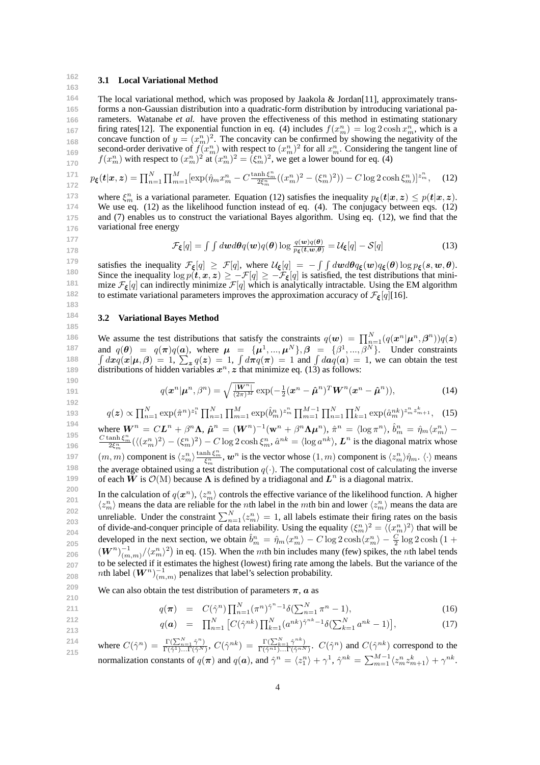#### **162 163 3.1 Local Variational Method**

**164 165 166 167 168 169 170** The local variational method, which was proposed by Jaakola & Jordan[11], approximately transforms a non-Gaussian distribution into a quadratic-form distribution by introducing variational parameters. Watanabe *et al.* have proven the effectiveness of this method in estimating stationary firing rates [12]. The exponential function in eq. (4) includes  $f(x_m^n) = \log 2 \cosh x_m^n$ , which is a concave function of  $y = (x_m^n)^2$ . The concavity can be confirmed by showing the negativity of the second-order derivative of  $f(x_m^n)$  with respect to  $(x_m^n)^2$  for all  $x_m^n$ . Considering the tangent line of  $f(x_m^n)$  with respect to  $(x_m^n)^2$  at  $(x_m^n)^2 = (\xi_m^n)^2$ , we get a lower bound for eq. (4)

$$
{}_{172}^{171} \quad p_{\xi}(\mathbf{t}|\mathbf{x},\mathbf{z}) = \prod_{n=1}^{N} \prod_{m=1}^{M} [\exp(\hat{\eta}_m x_m^n - C \frac{\tanh \xi_m^n}{2\xi_m^n} ((x_m^n)^2 - (\xi_m^n)^2)) - C \log 2 \cosh \xi_m^n)]^{z_m^n}, \quad (12)
$$

**173 174 175 176** where  $\xi_m^n$  is a variational parameter. Equation (12) satisfies the inequality  $p_{\xi}(t|x, z) \leq p(t|x, z)$ . We use eq. (12) as the likelihood function instead of eq. (4). The conjugacy between eqs. (12) and (7) enables us to construct the variational Bayes algorithm. Using eq. (12), we find that the variational free energy

$$
\mathcal{F}_{\xi}[q] = \int \int d\boldsymbol{w} d\boldsymbol{\theta} q(\boldsymbol{w}) q(\boldsymbol{\theta}) \log \frac{q(\boldsymbol{w}) q(\boldsymbol{\theta})}{p_{\xi}(\boldsymbol{t}, \boldsymbol{w}, \boldsymbol{\theta})} = \mathcal{U}_{\xi}[q] - \mathcal{S}[q] \tag{13}
$$

**179 180 181 182 183** satisfies the inequality  $\mathcal{F}_{\xi}[q] \geq \mathcal{F}[q]$ , where  $\mathcal{U}_{\xi}[q] = -\int \int dw d\theta q_{\xi}(w) q_{\xi}(\theta) \log p_{\xi}(s, w, \theta)$ . Since the inequality  $\log p(t, x, z) \ge -\mathcal{F}[q] \ge -\mathcal{F}_{\xi}[q]$  is satisfied, the test distributions that minimize  $\mathcal{F}_{\xi}[q]$  can indirectly minimize  $\mathcal{F}[q]$  which is analytically intractable. Using the EM algorithm to estimate variational parameters improves the approximation accuracy of  $\mathcal{F}_{\xi}[q]$ [16].

## **3.2 Variational Bayes Method**

**177 178**

**184 185**

**211 212 213**

**186 187 188 189** We assume the test distributions that satisfy the constraints  $q(\boldsymbol{w}) = \prod_{n=1}^{N} (q(\boldsymbol{x}^n | \boldsymbol{\mu}^n, \boldsymbol{\beta}^n)) q(\boldsymbol{z})$ and  $q(\theta) = q(\pi)q(a)$ , where  $\mu = {\mu^1, ..., \mu^N}, \beta = {\beta^1, ..., \beta^N}.$  Under constraints  $\int dx q(x|\mu, \beta) = 1$ ,  $\sum_{z} q(z) = 1$ ,  $\int d\pi q(\pi) = 1$  and  $\int da q(a) = 1$ , we can obtain the test distributions of hidden variables  $x^n$ ,  $z$  that minimize eq. (13) as follows:

$$
q(\boldsymbol{x}^n|\boldsymbol{\mu}^n,\beta^n) = \sqrt{\frac{|\boldsymbol{W}^n|}{(2\pi)^M}} \exp(-\frac{1}{2}(\boldsymbol{x}^n - \boldsymbol{\hat{\mu}}^n)^T \boldsymbol{W}^n (\boldsymbol{x}^n - \boldsymbol{\hat{\mu}}^n)),
$$
(14)

$$
q(z) \propto \prod_{n=1}^{N} \exp(\hat{\pi}^n)^{z_1^n} \prod_{n=1}^{N} \prod_{m=1}^{M} \exp(\hat{b}_m^n)^{z_m^n} \prod_{m=1}^{M-1} \prod_{n=1}^{N} \prod_{k=1}^{N} \exp(\hat{a}_m^{nk})^{z_m^k z_{m+1}^k}, \quad (15)
$$

**194 195 196 197 198 199** where  $\mathbf{W}^n = CL^n + \beta^n \Lambda$ ,  $\hat{\boldsymbol{\mu}}^n = (\mathbf{W}^n)^{-1}(\mathbf{w}^n + \beta^n \Lambda \boldsymbol{\mu}^n)$ ,  $\hat{\pi}^n = \langle \log \pi^n \rangle$ ,  $\hat{b}_m^n = \hat{\eta}_m \langle x_m^n \rangle$  $\frac{C \tanh \xi_m^n}{2\xi_m^n} (\langle (x_m^n)^2 \rangle - (\xi_m^n)^2) - C \log 2 \cosh \xi_m^n, \hat{a}^{nk} = \langle \log a^{nk} \rangle, L^n$  is the diagonal matrix whose  $(m, m)$  component is  $\langle z_m^n \rangle \frac{\tanh \xi_m^n}{\xi_m^n}$ ,  $\boldsymbol{w}^n$  is the vector whose  $(1, m)$  component is  $\langle z_m^n \rangle \hat{\eta}_m$ .  $\langle \cdot \rangle$  means the average obtained using a test distribution  $q(\cdot)$ . The computational cost of calculating the inverse of each  $\tilde{W}$  is  $\mathcal{O}(M)$  because  $\Lambda$  is defined by a tridiagonal and  $L^n$  is a diagonal matrix.

**200 201 202 203 204 205 206 207 208** In the calculation of  $q(x^n)$ ,  $\langle z_m^n \rangle$  controls the effective variance of the likelihood function. A higher  $\langle z_m^n \rangle$  means the data are reliable for the *n*th label in the *mth* bin and lower  $\langle z_m^n \rangle$  means the data are unreliable. Under the constraint  $\sum_{n=1}^{N} \langle z_m^n \rangle = 1$ , all labels estimate their firing rates on the basis of divide-and-conquer principle of data reliability. Using the equality  $(\xi_m^n)^2 = \langle (x_m^n)^2 \rangle$  that will be developed in the next section, we obtain  $\hat{b}_m^n = \hat{\eta}_m \langle x_m^n \rangle - C \log 2 \cosh \langle x_m^n \rangle - \frac{C}{2} \log 2 \cosh \left(1 + \frac{C}{2} \right)$  $(W^n)^{-1}_{(m,m)}/\langle x_m^n \rangle^2$  in eq. (15). When the *m*th bin includes many (few) spikes, the *n*th label tends to be selected if it estimates the highest (lowest) firing rate among the labels. But the variance of the *n*th label  $(W^n)_{(m,m)}^{-1}$  penalizes that label's selection probability.

**209 210** We can also obtain the test distribution of parameters  $\pi$ ,  $\alpha$  as

$$
q(\pi) = C(\hat{\gamma}^n) \prod_{n=1}^N (\pi^n)^{\hat{\gamma}^n - 1} \delta(\sum_{n=1}^N \pi^n - 1),
$$
\n(16)

$$
q(\mathbf{a}) = \prod_{n=1}^{N} \left[ C(\hat{\gamma}^{nk}) \prod_{k=1}^{N} (a^{nk})^{\hat{\gamma}^{nk} - 1} \delta(\sum_{k=1}^{N} a^{nk} - 1) \right],
$$
 (17)

**214 215** where  $C(\hat{\gamma}^n) = \frac{\Gamma(\sum_{n=1}^N \hat{\gamma}^n)}{\Gamma(\hat{\gamma}^1) - \Gamma(\hat{\gamma}^N)}$  $\frac{\Gamma(\sum_{n=1}^{N} \hat{\gamma}^n)}{\Gamma(\hat{\gamma}^1)... \Gamma(\hat{\gamma}^N)}, C(\hat{\gamma}^{nk}) = \frac{\Gamma(\sum_{k=1}^{N} \hat{\gamma}^{nk})}{\Gamma(\hat{\gamma}^{n1})... \Gamma(\hat{\gamma}^{nN})}$  $\frac{\Gamma(\sum_{k=1}^{N} \hat{\gamma}^{(n)})}{\Gamma(\hat{\gamma}^{n})\dots\Gamma(\hat{\gamma}^{n})}$ .  $C(\hat{\gamma}^{n})$  and  $C(\hat{\gamma}^{nk})$  correspond to the normalization constants of  $q(\pi)$  and  $q(a)$ , and  $\hat{\gamma}^n = \langle z_1^n \rangle + \gamma^1$ ,  $\hat{\gamma}^{nk} = \sum_{m=1}^{M-1} \langle z_m^n z_{m+1}^k \rangle + \gamma^{nk}$ .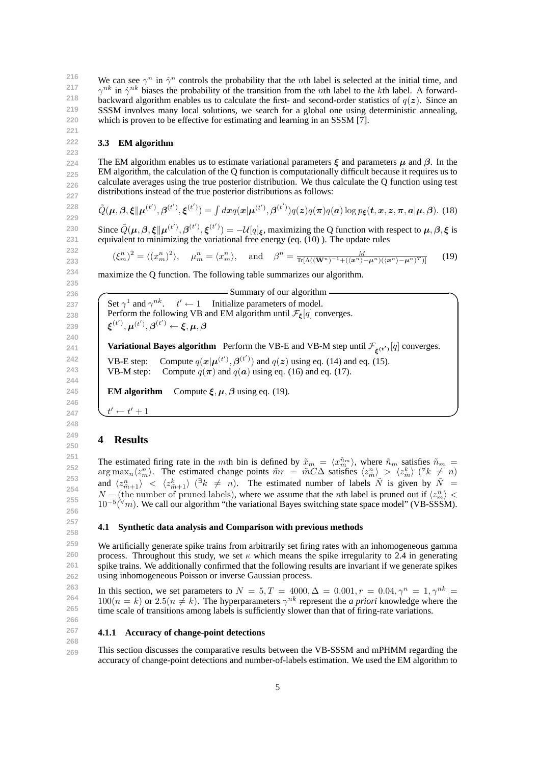**217**

**221 222 223**

**266**

**216 218 219 220** We can see  $\gamma^n$  in  $\hat{\gamma}^n$  controls the probability that the *n*th label is selected at the initial time, and  $\gamma^{nk}$  in  $\hat{\gamma}^{nk}$  biases the probability of the transition from the *n*th label to the *k*th label. A forwardbackward algorithm enables us to calculate the first- and second-order statistics of  $q(z)$ . Since an SSSM involves many local solutions, we search for a global one using deterministic annealing, which is proven to be effective for estimating and learning in an SSSM [7].

# **3.3 EM algorithm**

**224 225 226 227** The EM algorithm enables us to estimate variational parameters  $\xi$  and parameters  $\mu$  and  $\beta$ . In the EM algorithm, the calculation of the Q function is computationally difficult because it requires us to calculate averages using the true posterior distribution. We thus calculate the Q function using test distributions instead of the true posterior distributions as follows:

$$
\tilde{Q}(\boldsymbol{\mu}, \boldsymbol{\beta}, \boldsymbol{\xi} \|\boldsymbol{\mu}^{(t')}, \boldsymbol{\beta}^{(t')}, \boldsymbol{\xi}^{(t')}) = \int dx q(\boldsymbol{x}|\boldsymbol{\mu}^{(t')}, \boldsymbol{\beta}^{(t')}) q(\boldsymbol{z}) q(\boldsymbol{\pi}) q(\boldsymbol{a}) \log p_{\boldsymbol{\xi}}(\boldsymbol{t}, \boldsymbol{x}, \boldsymbol{z}, \boldsymbol{\pi}, \boldsymbol{a}|\boldsymbol{\mu}, \boldsymbol{\beta}).
$$
(18)

Since  $\tilde{Q}(\mu,\beta,\xi||\mu^{(t')},\beta^{(t')},\xi^{(t')})=-\mathcal{U}[q]_{\xi}$ , maximizing the Q function with respect to  $\mu,\beta,\xi$  is equivalent to minimizing the variational free energy (eq. (10) ). The update rules

$$
(\xi_m^n)^2 = \langle (x_m^n)^2 \rangle, \quad \mu_m^n = \langle x_m^n \rangle, \quad \text{and} \quad \beta^n = \frac{M}{\text{Tr}[\Lambda((\mathbf{W}^n)^{-1} + (\langle \mathbf{x}^n \rangle - \mu^n)(\langle \mathbf{x}^n \rangle - \mu^n)^T)]} \tag{19}
$$

maximize the Q function. The following table summarizes our algorithm.

| — Summary of our algorithm -                                                                                                                    |
|-------------------------------------------------------------------------------------------------------------------------------------------------|
| Set $\gamma^1$ and $\gamma^{nk}$ . $t' \leftarrow 1$ Initialize parameters of model.                                                            |
| Perform the following VB and EM algorithm until $\mathcal{F}_{\xi}[q]$ converges.                                                               |
| $\boldsymbol{\xi}^{(t')}, \boldsymbol{\mu}^{(t')}, \boldsymbol{\beta}^{(t')} \leftarrow \boldsymbol{\xi}, \boldsymbol{\mu}, \boldsymbol{\beta}$ |
| <b>Variational Bayes algorithm</b> Perform the VB-E and VB-M step until $\mathcal{F}_{\varepsilon^{(t')}}[q]$ converges.                        |
| Compute $q(x \mu^{(t')}, \beta^{(t')})$ and $q(z)$ using eq. (14) and eq. (15).<br>VB-E step:                                                   |
| VB-M step: Compute $q(\pi)$ and $q(a)$ using eq. (16) and eq. (17).                                                                             |
|                                                                                                                                                 |
| <b>EM algorithm</b> Compute $\xi, \mu, \beta$ using eq. (19).                                                                                   |

*t*  $\mathbf{t}' \leftarrow \mathbf{t}' + 1$ 

# **4 Results**

The estimated firing rate in the *mth* bin is defined by  $\tilde{x}_m = \langle x_m^{\tilde{n}_m} \rangle$ , where  $\tilde{n}_m$  satisfies  $\tilde{n}_m =$  $\arg \max_n \langle z_m^n \rangle$ . The estimated change points  $\tilde{m}r = \tilde{m}C\Delta$  satisfies  $\langle z_m^n \rangle > \langle z_m^k \rangle$  ( $\forall k \neq n$ ) and  $\langle z_{\tilde{m}+1}^n \rangle$   $\langle z_{\tilde{m}+1}^k \rangle$   $(\exists k \neq n)$ . The estimated number of labels  $\tilde{N}$  is given by  $\tilde{N} =$ *N* − (the number of pruned labels), where we assume that the *n*th label is pruned out if  $\langle z_m^n \rangle$  < 10*−*<sup>5</sup> ( *<sup>∀</sup>m*). We call our algorithm "the variational Bayes switching state space model" (VB-SSSM).

### **4.1 Synthetic data analysis and Comparison with previous methods**

We artificially generate spike trains from arbitrarily set firing rates with an inhomogeneous gamma process. Throughout this study, we set  $\kappa$  which means the spike irregularity to 2.4 in generating spike trains. We additionally confirmed that the following results are invariant if we generate spikes using inhomogeneous Poisson or inverse Gaussian process.

**263 264 265** In this section, we set parameters to  $N = 5, T = 4000, \Delta = 0.001, r = 0.04, \gamma^{n} = 1, \gamma^{nk} = 0.04$  $100(n = k)$  or  $2.5(n \neq k)$ . The hyperparameters  $\gamma^{nk}$  represent the *a priori* knowledge where the time scale of transitions among labels is sufficiently slower than that of firing-rate variations.

#### **267 268 4.1.1 Accuracy of change-point detections**

**269** This section discusses the comparative results between the VB-SSSM and mPHMM regarding the accuracy of change-point detections and number-of-labels estimation. We used the EM algorithm to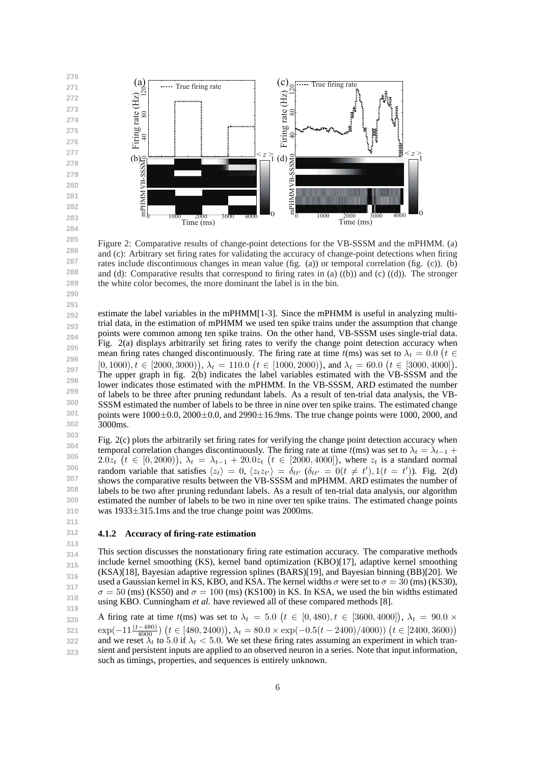**270 271**

**272 273 274**



Figure 2: Comparative results of change-point detections for the VB-SSSM and the mPHMM. (a) and (c): Arbitrary set firing rates for validating the accuracy of change-point detections when firing rates include discontinuous changes in mean value (fig. (a)) or temporal correlation (fig. (c)). (b) and (d): Comparative results that correspond to firing rates in (a) ((b)) and (c) ((d)). The stronger the white color becomes, the more dominant the label is in the bin.

**292 293 294 295 296 297 298 299 300 301 302** estimate the label variables in the mPHMM[1-3]. Since the mPHMM is useful in analyzing multitrial data, in the estimation of mPHMM we used ten spike trains under the assumption that change points were common among ten spike trains. On the other hand, VB-SSSM uses single-trial data. Fig. 2(a) displays arbitrarily set firing rates to verify the change point detection accuracy when mean firing rates changed discontinuously. The firing rate at time  $t$ (ms) was set to  $\lambda_t = 0.0$  ( $t \in$  $[0,1000), t \in [2000, 3000)$ ,  $\lambda_t = 110.0$   $(t \in [1000, 2000)$ , and  $\lambda_t = 60.0$   $(t \in [3000, 4000]$ . The upper graph in fig. 2(b) indicates the label variables estimated with the VB-SSSM and the lower indicates those estimated with the mPHMM. In the VB-SSSM, ARD estimated the number of labels to be three after pruning redundant labels. As a result of ten-trial data analysis, the VB-SSSM estimated the number of labels to be three in nine over ten spike trains. The estimated change points were 1000*±*0.0, 2000*±*0.0, and 2990*±*16.9ms. The true change points were 1000, 2000, and 3000ms.

**303 304 305 306 307 308 309 310** Fig. 2(c) plots the arbitrarily set firing rates for verifying the change point detection accuracy when temporal correlation changes discontinuously. The firing rate at time  $t$ (ms) was set to  $\lambda_t = \lambda_{t-1}$  +  $2.0z_t$   $(t \in [0,2000)), \lambda_t = \lambda_{t-1} + 20.0z_t$   $(t \in [2000,4000]),$  where  $z_t$  is a standard normal random variable that satisfies  $\langle z_t \rangle = 0$ ,  $\langle z_t z_{t'} \rangle = \delta_{tt'}$   $(\delta_{tt'} = 0(t \neq t'), 1(t = t'))$ . Fig. 2(d) shows the comparative results between the VB-SSSM and mPHMM. ARD estimates the number of labels to be two after pruning redundant labels. As a result of ten-trial data analysis, our algorithm estimated the number of labels to be two in nine over ten spike trains. The estimated change points was 1933*±*315.1ms and the true change point was 2000ms.

#### **311 312**

**313**

# **4.1.2 Accuracy of firing-rate estimation**

**314 315 316 317 318 319** This section discusses the nonstationary firing rate estimation accuracy. The comparative methods include kernel smoothing (KS), kernel band optimization (KBO)[17], adaptive kernel smoothing (KSA)[18], Bayesian adaptive regression splines (BARS)[19], and Bayesian binning (BB)[20]. We used a Gaussian kernel in KS, KBO, and KSA. The kernel widths  $\sigma$  were set to  $\sigma = 30$  (ms) (KS30),  $\sigma = 50$  (ms) (KS50) and  $\sigma = 100$  (ms) (KS100) in KS. In KSA, we used the bin widths estimated using KBO. Cunningham *et al.* have reviewed all of these compared methods [8].

**320 321 322 323** A firing rate at time  $t$ (ms) was set to  $\lambda_t = 5.0$  ( $t \in [0, 480)$ ,  $t \in [3600, 4000]$ ),  $\lambda_t = 90.0 \times$  $\exp(-11\frac{(t-480)}{4000}) (t \in [480, 2400)), \lambda_t = 80.0 \times \exp(-0.5(t-2400)/4000)) (t \in [2400, 3600))$ and we reset  $\lambda_t$  to 5.0 if  $\lambda_t$  < 5.0. We set these firing rates assuming an experiment in which transient and persistent inputs are applied to an observed neuron in a series. Note that input information, such as timings, properties, and sequences is entirely unknown.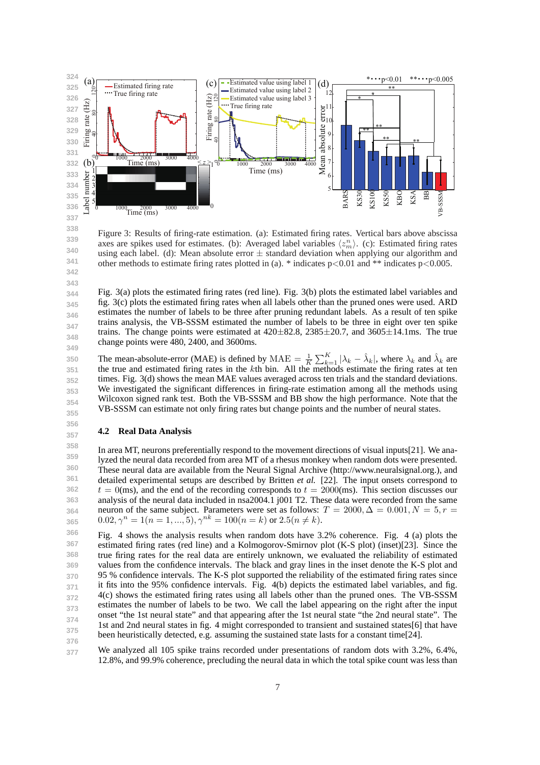

Figure 3: Results of firing-rate estimation. (a): Estimated firing rates. Vertical bars above abscissa axes are spikes used for estimates. (b): Averaged label variables  $\langle z_m^n \rangle$ . (c): Estimated firing rates using each label. (d): Mean absolute error *±* standard deviation when applying our algorithm and other methods to estimate firing rates plotted in (a). \* indicates p*<*0.01 and \*\* indicates p*<*0.005.

Fig. 3(a) plots the estimated firing rates (red line). Fig. 3(b) plots the estimated label variables and fig. 3(c) plots the estimated firing rates when all labels other than the pruned ones were used. ARD estimates the number of labels to be three after pruning redundant labels. As a result of ten spike trains analysis, the VB-SSSM estimated the number of labels to be three in eight over ten spike trains. The change points were estimated at 420*±*82.8, 2385*±*20.7, and 3605*±*14.1ms. The true change points were 480, 2400, and 3600ms.

**350 351 352 353 354 355** The mean-absolute-error (MAE) is defined by  $\text{MAE} = \frac{1}{K} \sum_{k=1}^{K} |\lambda_k - \hat{\lambda}_k|$ , where  $\lambda_k$  and  $\hat{\lambda}_k$  are the true and estimated firing rates in the *k*th bin. All the methods estimate the firing rates at ten times. Fig. 3(d) shows the mean MAE values averaged across ten trials and the standard deviations. We investigated the significant differences in firing-rate estimation among all the methods using Wilcoxon signed rank test. Both the VB-SSSM and BB show the high performance. Note that the VB-SSSM can estimate not only firing rates but change points and the number of neural states.

### **4.2 Real Data Analysis**

**358 359 360 361 362 363 364 365** In area MT, neurons preferentially respond to the movement directions of visual inputs[21]. We analyzed the neural data recorded from area MT of a rhesus monkey when random dots were presented. These neural data are available from the Neural Signal Archive (http://www.neuralsignal.org.), and detailed experimental setups are described by Britten *et al.* [22]. The input onsets correspond to  $t = 0$ (ms), and the end of the recording corresponds to  $t = 2000$ (ms). This section discusses our analysis of the neural data included in nsa2004.1 j001 T2. These data were recorded from the same neuron of the same subject. Parameters were set as follows:  $T = 2000, \Delta = 0.001, N = 5, r = 1$  $0.02, \gamma^{n} = 1(n = 1, ..., 5), \gamma^{nk} = 100(n = k)$  or  $2.5(n \neq k)$ .

**366 367 368 369 370 371 372 373 374 375 376** Fig. 4 shows the analysis results when random dots have 3.2% coherence. Fig. 4 (a) plots the estimated firing rates (red line) and a Kolmogorov-Smirnov plot (K-S plot) (inset)[23]. Since the true firing rates for the real data are entirely unknown, we evaluated the reliability of estimated values from the confidence intervals. The black and gray lines in the inset denote the K-S plot and 95 % confidence intervals. The K-S plot supported the reliability of the estimated firing rates since it fits into the 95% confidence intervals. Fig. 4(b) depicts the estimated label variables, and fig. 4(c) shows the estimated firing rates using all labels other than the pruned ones. The VB-SSSM estimates the number of labels to be two. We call the label appearing on the right after the input onset "the 1st neural state" and that appearing after the 1st neural state "the 2nd neural state". The 1st and 2nd neural states in fig. 4 might corresponded to transient and sustained states[6] that have been heuristically detected, e.g. assuming the sustained state lasts for a constant time[24].

**377** We analyzed all 105 spike trains recorded under presentations of random dots with 3.2%, 6.4%, 12.8%, and 99.9% coherence, precluding the neural data in which the total spike count was less than

**339 340**

**356 357**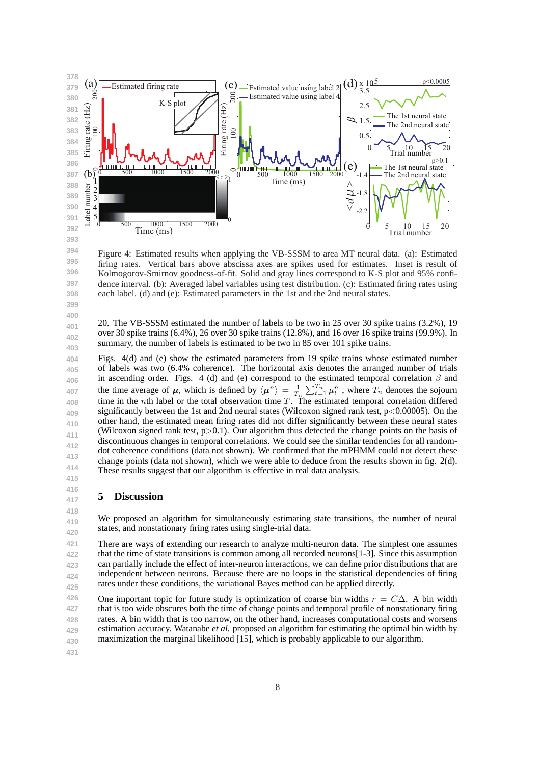

Figure 4: Estimated results when applying the VB-SSSM to area MT neural data. (a): Estimated firing rates. Vertical bars above abscissa axes are spikes used for estimates. Inset is result of Kolmogorov-Smirnov goodness-of-fit. Solid and gray lines correspond to K-S plot and 95% confidence interval. (b): Averaged label variables using test distribution. (c): Estimated firing rates using each label. (d) and (e): Estimated parameters in the 1st and the 2nd neural states.

20. The VB-SSSM estimated the number of labels to be two in 25 over 30 spike trains (3.2%), 19 over 30 spike trains (6.4%), 26 over 30 spike trains (12.8%), and 16 over 16 spike trains (99.9%). In summary, the number of labels is estimated to be two in 85 over 101 spike trains.

**404 405 406 407 408 409 410 411 412 413 414 415** Figs. 4(d) and (e) show the estimated parameters from 19 spike trains whose estimated number of labels was two (6.4% coherence). The horizontal axis denotes the arranged number of trials in ascending order. Figs. 4 (d) and (e) correspond to the estimated temporal correlation *β* and the time average of  $\mu$ , which is defined by  $\langle \mu^n \rangle = \frac{1}{T_n} \sum_{t=1}^{T_n} \mu_t^n$ , where  $T_n$  denotes the sojourn time in the *n*th label or the total observation time *T*. The estimated temporal correlation differed significantly between the 1st and 2nd neural states (Wilcoxon signed rank test, p*<*0.00005). On the other hand, the estimated mean firing rates did not differ significantly between these neural states (Wilcoxon signed rank test, p*>*0.1). Our algorithm thus detected the change points on the basis of discontinuous changes in temporal correlations. We could see the similar tendencies for all randomdot coherence conditions (data not shown). We confirmed that the mPHMM could not detect these change points (data not shown), which we were able to deduce from the results shown in fig. 2(d). These results suggest that our algorithm is effective in real data analysis.

# **5 Discussion**

**419 420** We proposed an algorithm for simultaneously estimating state transitions, the number of neural states, and nonstationary firing rates using single-trial data.

**421 422 423 424 425** There are ways of extending our research to analyze multi-neuron data. The simplest one assumes that the time of state transitions is common among all recorded neurons[1-3]. Since this assumption can partially include the effect of inter-neuron interactions, we can define prior distributions that are independent between neurons. Because there are no loops in the statistical dependencies of firing rates under these conditions, the variational Bayes method can be applied directly.

**426 427 428 429 430** One important topic for future study is optimization of coarse bin widths  $r = C\Delta$ . A bin width that is too wide obscures both the time of change points and temporal profile of nonstationary firing rates. A bin width that is too narrow, on the other hand, increases computational costs and worsens estimation accuracy. Watanabe *et al.* proposed an algorithm for estimating the optimal bin width by maximization the marginal likelihood [15], which is probably applicable to our algorithm.

**431**

**416 417 418**